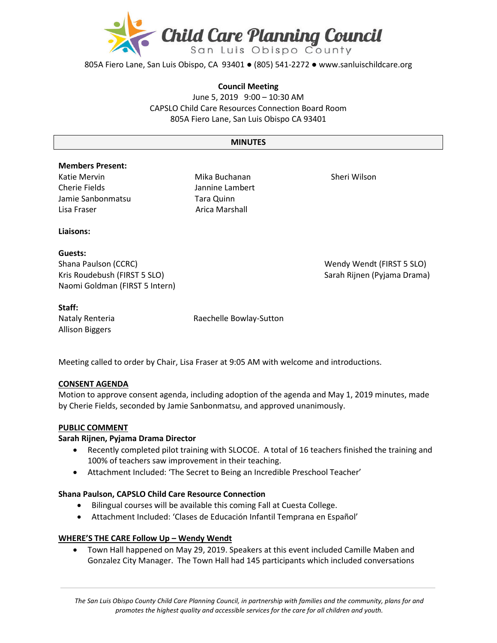

805A Fiero Lane, San Luis Obispo, CA 93401 ● (805) 541-2272 ● www.sanluischildcare.org

#### **Council Meeting**

June 5, 2019 9:00 – 10:30 AM CAPSLO Child Care Resources Connection Board Room 805A Fiero Lane, San Luis Obispo CA 93401

#### **MINUTES**

#### **Members Present:**

Katie Mervin Cherie Fields Jamie Sanbonmatsu Lisa Fraser **Arica Marshall** 

Mika Buchanan Jannine Lambert Tara Quinn

Sheri Wilson

#### **Liaisons:**

### **Guests:**

Shana Paulson (CCRC) Wendy Wendt (FIRST 5 SLO) Kris Roudebush (FIRST 5 SLO) Sarah Rijnen (Pyjama Drama) Naomi Goldman (FIRST 5 Intern)

#### **Staff:**

Allison Biggers

Nataly Renteria **Raechelle Bowlay-Sutton** 

Meeting called to order by Chair, Lisa Fraser at 9:05 AM with welcome and introductions.

### **CONSENT AGENDA**

Motion to approve consent agenda, including adoption of the agenda and May 1, 2019 minutes, made by Cherie Fields, seconded by Jamie Sanbonmatsu, and approved unanimously.

#### **PUBLIC COMMENT**

#### **Sarah Rijnen, Pyjama Drama Director**

- Recently completed pilot training with SLOCOE. A total of 16 teachers finished the training and 100% of teachers saw improvement in their teaching.
- Attachment Included: 'The Secret to Being an Incredible Preschool Teacher'

#### **Shana Paulson, CAPSLO Child Care Resource Connection**

- Bilingual courses will be available this coming Fall at Cuesta College.
- Attachment Included: 'Clases de Educación Infantil Temprana en Español'

#### **WHERE'S THE CARE Follow Up – Wendy Wendt**

• Town Hall happened on May 29, 2019. Speakers at this event included Camille Maben and Gonzalez City Manager. The Town Hall had 145 participants which included conversations

*The San Luis Obispo County Child Care Planning Council, in partnership with families and the community, plans for and promotes the highest quality and accessible services for the care for all children and youth.*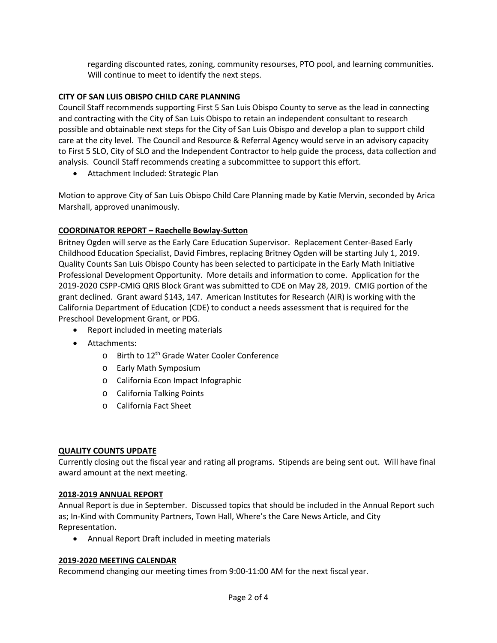regarding discounted rates, zoning, community resourses, PTO pool, and learning communities. Will continue to meet to identify the next steps.

## **CITY OF SAN LUIS OBISPO CHILD CARE PLANNING**

Council Staff recommends supporting First 5 San Luis Obispo County to serve as the lead in connecting and contracting with the City of San Luis Obispo to retain an independent consultant to research possible and obtainable next steps for the City of San Luis Obispo and develop a plan to support child care at the city level. The Council and Resource & Referral Agency would serve in an advisory capacity to First 5 SLO, City of SLO and the Independent Contractor to help guide the process, data collection and analysis. Council Staff recommends creating a subcommittee to support this effort.

• Attachment Included: Strategic Plan

Motion to approve City of San Luis Obispo Child Care Planning made by Katie Mervin, seconded by Arica Marshall, approved unanimously.

## **COORDINATOR REPORT – Raechelle Bowlay-Sutton**

Britney Ogden will serve as the Early Care Education Supervisor. Replacement Center-Based Early Childhood Education Specialist, David Fimbres, replacing Britney Ogden will be starting July 1, 2019. Quality Counts San Luis Obispo County has been selected to participate in the Early Math Initiative Professional Development Opportunity. More details and information to come. Application for the 2019-2020 CSPP-CMIG QRIS Block Grant was submitted to CDE on May 28, 2019. CMIG portion of the grant declined. Grant award \$143, 147. American Institutes for Research (AIR) is working with the California Department of Education (CDE) to conduct a needs assessment that is required for the Preschool Development Grant, or PDG.

- Report included in meeting materials
- Attachments:
	- o Birth to 12<sup>th</sup> Grade Water Cooler Conference
	- o Early Math Symposium
	- o California Econ Impact Infographic
	- o California Talking Points
	- o California Fact Sheet

### **QUALITY COUNTS UPDATE**

Currently closing out the fiscal year and rating all programs. Stipends are being sent out. Will have final award amount at the next meeting.

### **2018-2019 ANNUAL REPORT**

Annual Report is due in September. Discussed topics that should be included in the Annual Report such as; In-Kind with Community Partners, Town Hall, Where's the Care News Article, and City Representation.

• Annual Report Draft included in meeting materials

### **2019-2020 MEETING CALENDAR**

Recommend changing our meeting times from 9:00-11:00 AM for the next fiscal year.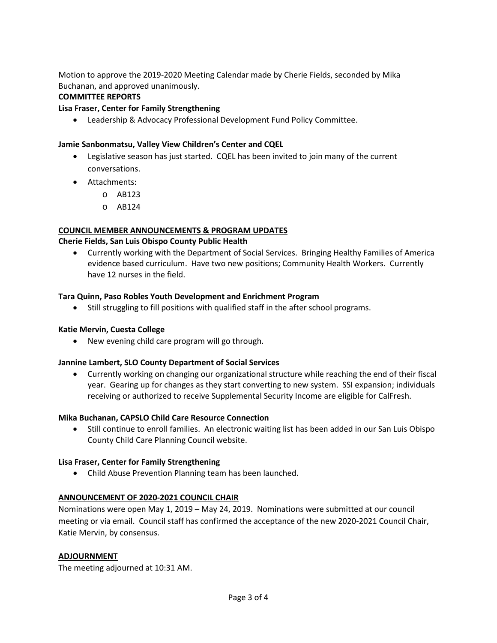Motion to approve the 2019-2020 Meeting Calendar made by Cherie Fields, seconded by Mika Buchanan, and approved unanimously.

# **COMMITTEE REPORTS**

## **Lisa Fraser, Center for Family Strengthening**

• Leadership & Advocacy Professional Development Fund Policy Committee.

## **Jamie Sanbonmatsu, Valley View Children's Center and CQEL**

- Legislative season has just started. CQEL has been invited to join many of the current conversations.
- Attachments:
	- o AB123
	- o AB124

# **COUNCIL MEMBER ANNOUNCEMENTS & PROGRAM UPDATES**

## **Cherie Fields, San Luis Obispo County Public Health**

• Currently working with the Department of Social Services. Bringing Healthy Families of America evidence based curriculum. Have two new positions; Community Health Workers. Currently have 12 nurses in the field.

## **Tara Quinn, Paso Robles Youth Development and Enrichment Program**

• Still struggling to fill positions with qualified staff in the after school programs.

### **Katie Mervin, Cuesta College**

• New evening child care program will go through.

### **Jannine Lambert, SLO County Department of Social Services**

• Currently working on changing our organizational structure while reaching the end of their fiscal year. Gearing up for changes as they start converting to new system. SSI expansion; individuals receiving or authorized to receive Supplemental Security Income are eligible for CalFresh.

### **Mika Buchanan, CAPSLO Child Care Resource Connection**

• Still continue to enroll families. An electronic waiting list has been added in our San Luis Obispo County Child Care Planning Council website.

### **Lisa Fraser, Center for Family Strengthening**

• Child Abuse Prevention Planning team has been launched.

# **ANNOUNCEMENT OF 2020-2021 COUNCIL CHAIR**

Nominations were open May 1, 2019 – May 24, 2019. Nominations were submitted at our council meeting or via email. Council staff has confirmed the acceptance of the new 2020-2021 Council Chair, Katie Mervin, by consensus.

### **ADJOURNMENT**

The meeting adjourned at 10:31 AM.